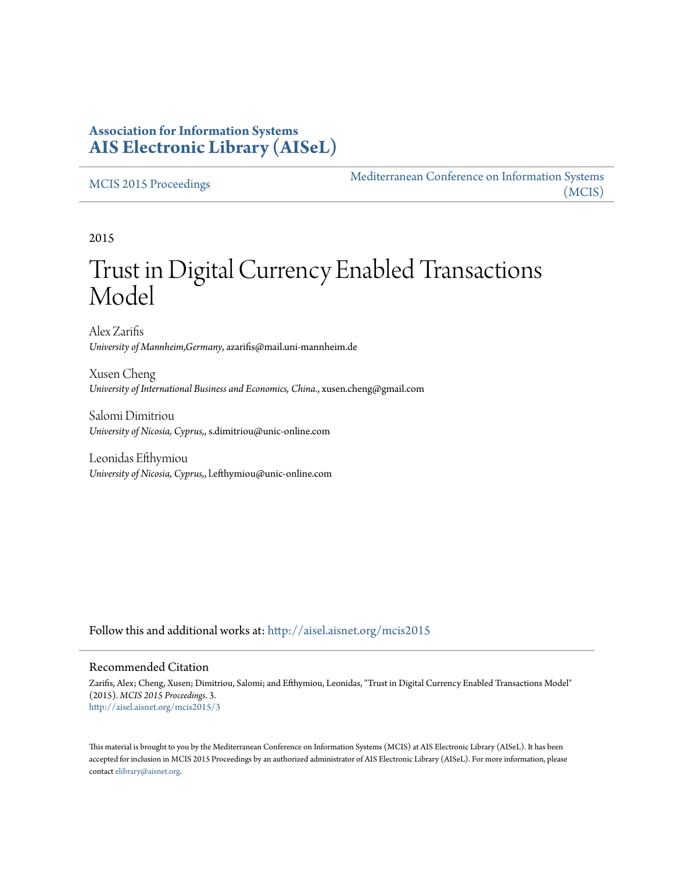### **Association for Information Systems [AIS Electronic Library \(AISeL\)](http://aisel.aisnet.org?utm_source=aisel.aisnet.org%2Fmcis2015%2F3&utm_medium=PDF&utm_campaign=PDFCoverPages)**

#### [MCIS 2015 Proceedings](http://aisel.aisnet.org/mcis2015?utm_source=aisel.aisnet.org%2Fmcis2015%2F3&utm_medium=PDF&utm_campaign=PDFCoverPages)

[Mediterranean Conference on Information Systems](http://aisel.aisnet.org/mcis?utm_source=aisel.aisnet.org%2Fmcis2015%2F3&utm_medium=PDF&utm_campaign=PDFCoverPages) [\(MCIS\)](http://aisel.aisnet.org/mcis?utm_source=aisel.aisnet.org%2Fmcis2015%2F3&utm_medium=PDF&utm_campaign=PDFCoverPages)

2015

# Trust in Digital Currency Enabled Transactions Model

Alex Zarifis *University of Mannheim,Germany*, azarifis@mail.uni-mannheim.de

Xusen Cheng *University of International Business and Economics, China.*, xusen.cheng@gmail.com

Salomi Dimitriou *University of Nicosia, Cyprus,*, s.dimitriou@unic-online.com

Leonidas Efthymiou *University of Nicosia, Cyprus,*, l.efthymiou@unic-online.com

Follow this and additional works at: [http://aisel.aisnet.org/mcis2015](http://aisel.aisnet.org/mcis2015?utm_source=aisel.aisnet.org%2Fmcis2015%2F3&utm_medium=PDF&utm_campaign=PDFCoverPages)

#### Recommended Citation

Zarifis, Alex; Cheng, Xusen; Dimitriou, Salomi; and Efthymiou, Leonidas, "Trust in Digital Currency Enabled Transactions Model" (2015). *MCIS 2015 Proceedings*. 3. [http://aisel.aisnet.org/mcis2015/3](http://aisel.aisnet.org/mcis2015/3?utm_source=aisel.aisnet.org%2Fmcis2015%2F3&utm_medium=PDF&utm_campaign=PDFCoverPages)

This material is brought to you by the Mediterranean Conference on Information Systems (MCIS) at AIS Electronic Library (AISeL). It has been accepted for inclusion in MCIS 2015 Proceedings by an authorized administrator of AIS Electronic Library (AISeL). For more information, please contact [elibrary@aisnet.org.](mailto:elibrary@aisnet.org%3E)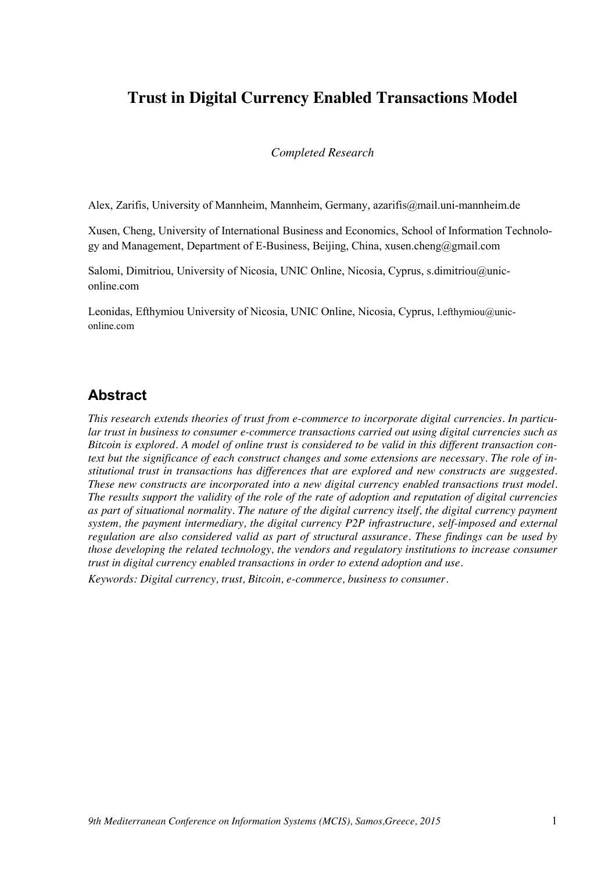# **Trust in Digital Currency Enabled Transactions Model**

*Completed Research*

Alex, Zarifis, University of Mannheim, Mannheim, Germany, azarifis@mail.uni-mannheim.de

Xusen, Cheng, University of International Business and Economics, School of Information Technology and Management, Department of E-Business, Beijing, China, xusen.cheng@gmail.com

Salomi, Dimitriou, University of Nicosia, UNIC Online, Nicosia, Cyprus, s.dimitriou@uniconline.com

Leonidas, Efthymiou University of Nicosia, UNIC Online, Nicosia, Cyprus, l.efthymiou@uniconline.com

### **Abstract**

*This research extends theories of trust from e-commerce to incorporate digital currencies. In particular trust in business to consumer e-commerce transactions carried out using digital currencies such as Bitcoin is explored. A model of online trust is considered to be valid in this different transaction context but the significance of each construct changes and some extensions are necessary. The role of institutional trust in transactions has differences that are explored and new constructs are suggested. These new constructs are incorporated into a new digital currency enabled transactions trust model. The results support the validity of the role of the rate of adoption and reputation of digital currencies as part of situational normality. The nature of the digital currency itself, the digital currency payment system, the payment intermediary, the digital currency P2P infrastructure, self-imposed and external regulation are also considered valid as part of structural assurance. These findings can be used by those developing the related technology, the vendors and regulatory institutions to increase consumer trust in digital currency enabled transactions in order to extend adoption and use.*

*Keywords: Digital currency, trust, Bitcoin, e-commerce, business to consumer.*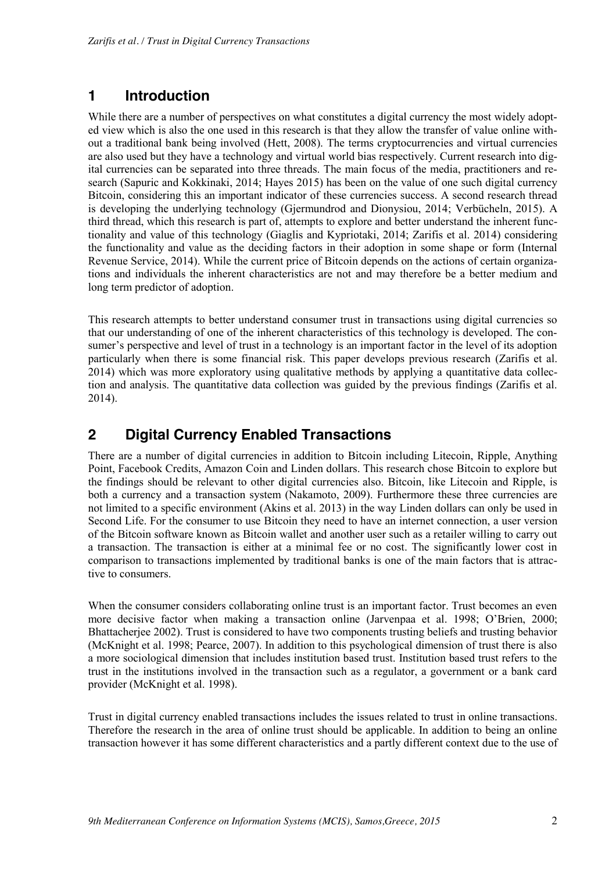# **1 Introduction**

While there are a number of perspectives on what constitutes a digital currency the most widely adopted view which is also the one used in this research is that they allow the transfer of value online without a traditional bank being involved (Hett, 2008). The terms cryptocurrencies and virtual currencies are also used but they have a technology and virtual world bias respectively. Current research into digital currencies can be separated into three threads. The main focus of the media, practitioners and research (Sapuric and Kokkinaki, 2014; Hayes 2015) has been on the value of one such digital currency Bitcoin, considering this an important indicator of these currencies success. A second research thread is developing the underlying technology (Gjermundrod and Dionysiou, 2014; Verbücheln, 2015). A third thread, which this research is part of, attempts to explore and better understand the inherent functionality and value of this technology (Giaglis and Kypriotaki, 2014; Zarifis et al. 2014) considering the functionality and value as the deciding factors in their adoption in some shape or form (Internal Revenue Service, 2014). While the current price of Bitcoin depends on the actions of certain organizations and individuals the inherent characteristics are not and may therefore be a better medium and long term predictor of adoption.

This research attempts to better understand consumer trust in transactions using digital currencies so that our understanding of one of the inherent characteristics of this technology is developed. The consumer's perspective and level of trust in a technology is an important factor in the level of its adoption particularly when there is some financial risk. This paper develops previous research (Zarifis et al. 2014) which was more exploratory using qualitative methods by applying a quantitative data collection and analysis. The quantitative data collection was guided by the previous findings (Zarifis et al. 2014).

# **2 Digital Currency Enabled Transactions**

There are a number of digital currencies in addition to Bitcoin including Litecoin, Ripple, Anything Point, Facebook Credits, Amazon Coin and Linden dollars. This research chose Bitcoin to explore but the findings should be relevant to other digital currencies also. Bitcoin, like Litecoin and Ripple, is both a currency and a transaction system (Nakamoto, 2009). Furthermore these three currencies are not limited to a specific environment (Akins et al. 2013) in the way Linden dollars can only be used in Second Life. For the consumer to use Bitcoin they need to have an internet connection, a user version of the Bitcoin software known as Bitcoin wallet and another user such as a retailer willing to carry out a transaction. The transaction is either at a minimal fee or no cost. The significantly lower cost in comparison to transactions implemented by traditional banks is one of the main factors that is attractive to consumers.

When the consumer considers collaborating online trust is an important factor. Trust becomes an even more decisive factor when making a transaction online (Jarvenpaa et al. 1998; O'Brien, 2000; Bhattacherjee 2002). Trust is considered to have two components trusting beliefs and trusting behavior (McKnight et al. 1998; Pearce, 2007). In addition to this psychological dimension of trust there is also a more sociological dimension that includes institution based trust. Institution based trust refers to the trust in the institutions involved in the transaction such as a regulator, a government or a bank card provider (McKnight et al. 1998).

Trust in digital currency enabled transactions includes the issues related to trust in online transactions. Therefore the research in the area of online trust should be applicable. In addition to being an online transaction however it has some different characteristics and a partly different context due to the use of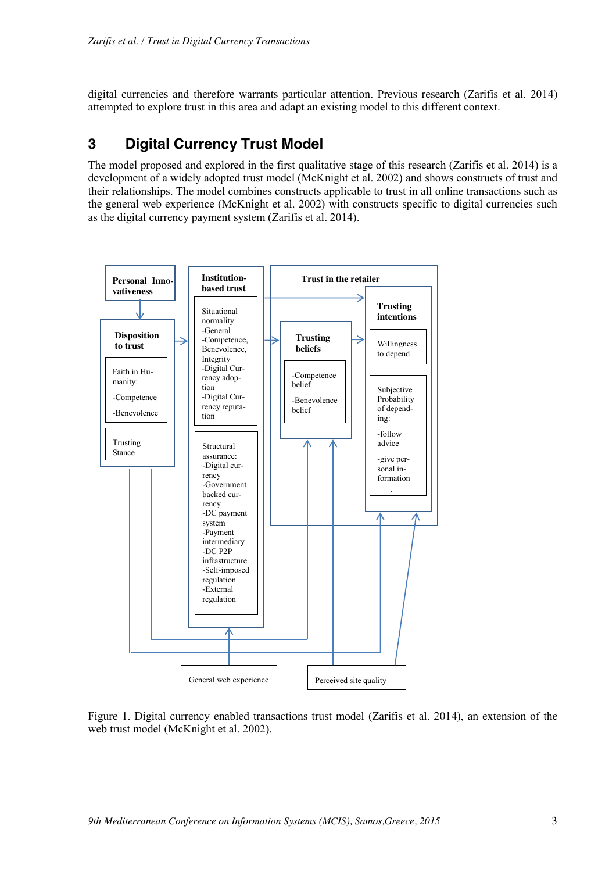digital currencies and therefore warrants particular attention. Previous research (Zarifis et al. 2014) attempted to explore trust in this area and adapt an existing model to this different context.

# **3 Digital Currency Trust Model**

The model proposed and explored in the first qualitative stage of this research (Zarifis et al. 2014) is a development of a widely adopted trust model (McKnight et al. 2002) and shows constructs of trust and their relationships. The model combines constructs applicable to trust in all online transactions such as the general web experience (McKnight et al. 2002) with constructs specific to digital currencies such as the digital currency payment system (Zarifis et al. 2014).



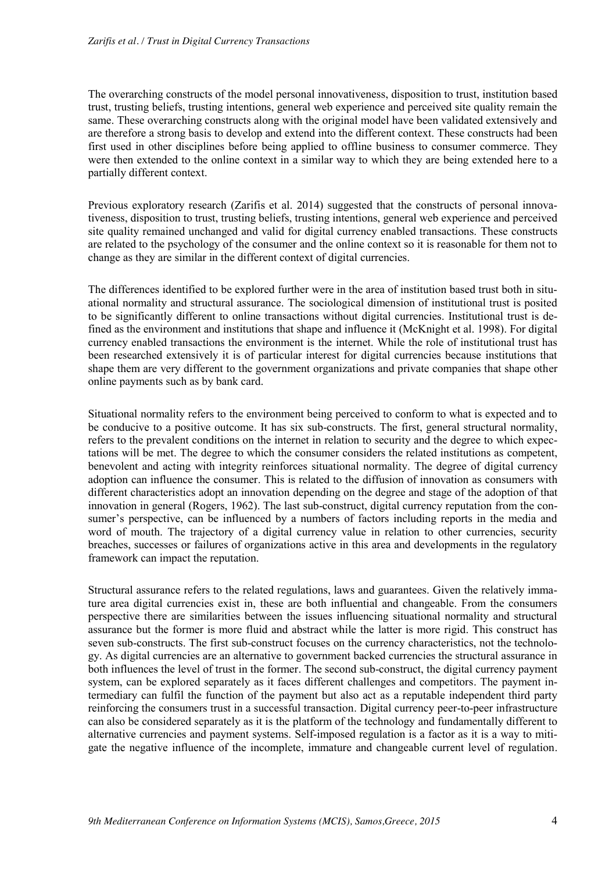The overarching constructs of the model personal innovativeness, disposition to trust, institution based trust, trusting beliefs, trusting intentions, general web experience and perceived site quality remain the same. These overarching constructs along with the original model have been validated extensively and are therefore a strong basis to develop and extend into the different context. These constructs had been first used in other disciplines before being applied to offline business to consumer commerce. They were then extended to the online context in a similar way to which they are being extended here to a partially different context.

Previous exploratory research (Zarifis et al. 2014) suggested that the constructs of personal innovativeness, disposition to trust, trusting beliefs, trusting intentions, general web experience and perceived site quality remained unchanged and valid for digital currency enabled transactions. These constructs are related to the psychology of the consumer and the online context so it is reasonable for them not to change as they are similar in the different context of digital currencies.

The differences identified to be explored further were in the area of institution based trust both in situational normality and structural assurance. The sociological dimension of institutional trust is posited to be significantly different to online transactions without digital currencies. Institutional trust is defined as the environment and institutions that shape and influence it (McKnight et al. 1998). For digital currency enabled transactions the environment is the internet. While the role of institutional trust has been researched extensively it is of particular interest for digital currencies because institutions that shape them are very different to the government organizations and private companies that shape other online payments such as by bank card.

Situational normality refers to the environment being perceived to conform to what is expected and to be conducive to a positive outcome. It has six sub-constructs. The first, general structural normality, refers to the prevalent conditions on the internet in relation to security and the degree to which expectations will be met. The degree to which the consumer considers the related institutions as competent, benevolent and acting with integrity reinforces situational normality. The degree of digital currency adoption can influence the consumer. This is related to the diffusion of innovation as consumers with different characteristics adopt an innovation depending on the degree and stage of the adoption of that innovation in general (Rogers, 1962). The last sub-construct, digital currency reputation from the consumer's perspective, can be influenced by a numbers of factors including reports in the media and word of mouth. The trajectory of a digital currency value in relation to other currencies, security breaches, successes or failures of organizations active in this area and developments in the regulatory framework can impact the reputation.

Structural assurance refers to the related regulations, laws and guarantees. Given the relatively immature area digital currencies exist in, these are both influential and changeable. From the consumers perspective there are similarities between the issues influencing situational normality and structural assurance but the former is more fluid and abstract while the latter is more rigid. This construct has seven sub-constructs. The first sub-construct focuses on the currency characteristics, not the technology. As digital currencies are an alternative to government backed currencies the structural assurance in both influences the level of trust in the former. The second sub-construct, the digital currency payment system, can be explored separately as it faces different challenges and competitors. The payment intermediary can fulfil the function of the payment but also act as a reputable independent third party reinforcing the consumers trust in a successful transaction. Digital currency peer-to-peer infrastructure can also be considered separately as it is the platform of the technology and fundamentally different to alternative currencies and payment systems. Self-imposed regulation is a factor as it is a way to mitigate the negative influence of the incomplete, immature and changeable current level of regulation.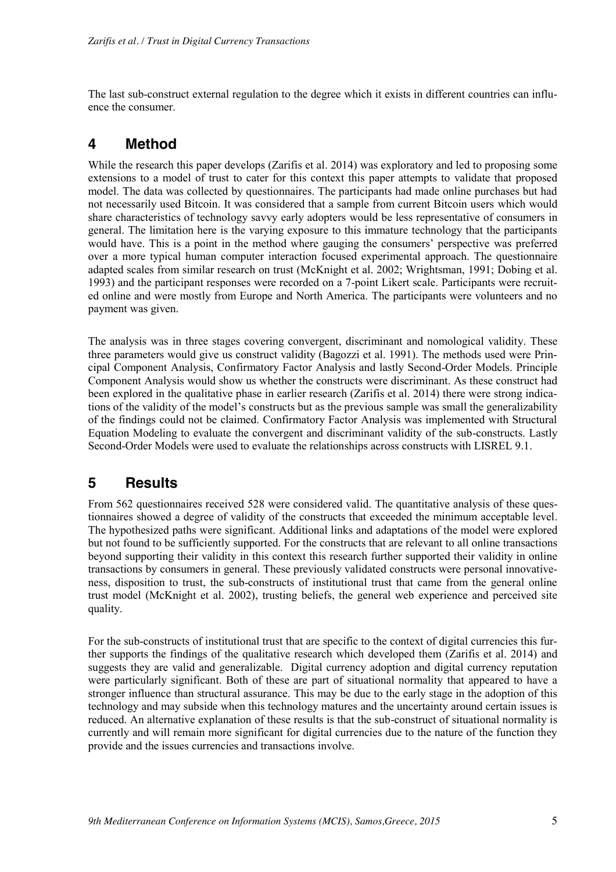The last sub-construct external regulation to the degree which it exists in different countries can influence the consumer.

### **4 Method**

While the research this paper develops (Zarifis et al. 2014) was exploratory and led to proposing some extensions to a model of trust to cater for this context this paper attempts to validate that proposed model. The data was collected by questionnaires. The participants had made online purchases but had not necessarily used Bitcoin. It was considered that a sample from current Bitcoin users which would share characteristics of technology savvy early adopters would be less representative of consumers in general. The limitation here is the varying exposure to this immature technology that the participants would have. This is a point in the method where gauging the consumers' perspective was preferred over a more typical human computer interaction focused experimental approach. The questionnaire adapted scales from similar research on trust (McKnight et al. 2002; Wrightsman, 1991; Dobing et al. 1993) and the participant responses were recorded on a 7-point Likert scale. Participants were recruited online and were mostly from Europe and North America. The participants were volunteers and no payment was given.

The analysis was in three stages covering convergent, discriminant and nomological validity. These three parameters would give us construct validity (Bagozzi et al. 1991). The methods used were Principal Component Analysis, Confirmatory Factor Analysis and lastly Second-Order Models. Principle Component Analysis would show us whether the constructs were discriminant. As these construct had been explored in the qualitative phase in earlier research (Zarifis et al. 2014) there were strong indications of the validity of the model's constructs but as the previous sample was small the generalizability of the findings could not be claimed. Confirmatory Factor Analysis was implemented with Structural Equation Modeling to evaluate the convergent and discriminant validity of the sub-constructs. Lastly Second-Order Models were used to evaluate the relationships across constructs with LISREL 9.1.

# **5 Results**

From 562 questionnaires received 528 were considered valid. The quantitative analysis of these questionnaires showed a degree of validity of the constructs that exceeded the minimum acceptable level. The hypothesized paths were significant. Additional links and adaptations of the model were explored but not found to be sufficiently supported. For the constructs that are relevant to all online transactions beyond supporting their validity in this context this research further supported their validity in online transactions by consumers in general. These previously validated constructs were personal innovativeness, disposition to trust, the sub-constructs of institutional trust that came from the general online trust model (McKnight et al. 2002), trusting beliefs, the general web experience and perceived site quality.

For the sub-constructs of institutional trust that are specific to the context of digital currencies this further supports the findings of the qualitative research which developed them (Zarifis et al. 2014) and suggests they are valid and generalizable. Digital currency adoption and digital currency reputation were particularly significant. Both of these are part of situational normality that appeared to have a stronger influence than structural assurance. This may be due to the early stage in the adoption of this technology and may subside when this technology matures and the uncertainty around certain issues is reduced. An alternative explanation of these results is that the sub-construct of situational normality is currently and will remain more significant for digital currencies due to the nature of the function they provide and the issues currencies and transactions involve.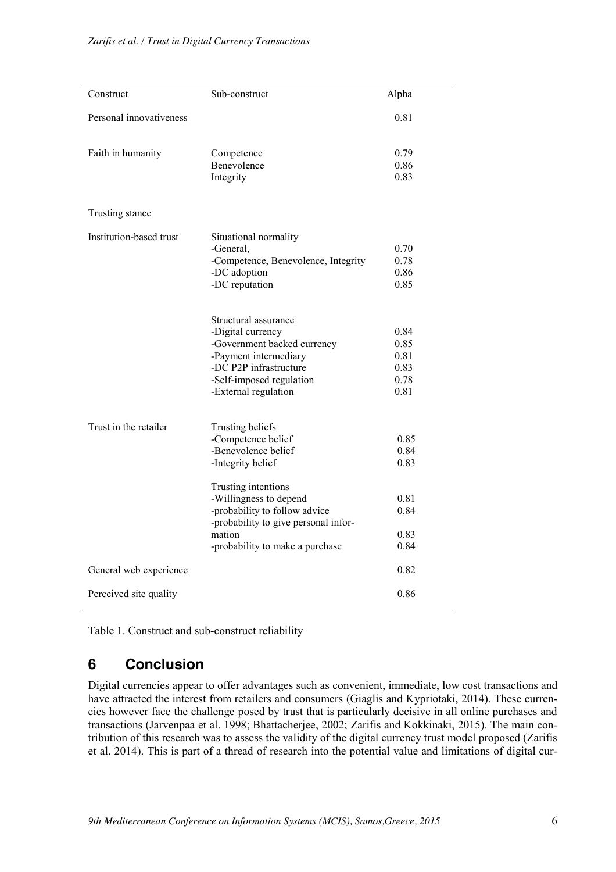| Construct               | Sub-construct                                                                                                                                                                   | Alpha                                        |
|-------------------------|---------------------------------------------------------------------------------------------------------------------------------------------------------------------------------|----------------------------------------------|
| Personal innovativeness |                                                                                                                                                                                 | 0.81                                         |
| Faith in humanity       | Competence<br>Benevolence<br>Integrity                                                                                                                                          | 0.79<br>0.86<br>0.83                         |
| Trusting stance         |                                                                                                                                                                                 |                                              |
| Institution-based trust | Situational normality<br>-General,<br>-Competence, Benevolence, Integrity<br>-DC adoption<br>-DC reputation                                                                     | 0.70<br>0.78<br>0.86<br>0.85                 |
|                         | Structural assurance<br>-Digital currency<br>-Government backed currency<br>-Payment intermediary<br>-DC P2P infrastructure<br>-Self-imposed regulation<br>-External regulation | 0.84<br>0.85<br>0.81<br>0.83<br>0.78<br>0.81 |
| Trust in the retailer   | Trusting beliefs<br>-Competence belief<br>-Benevolence belief<br>-Integrity belief                                                                                              | 0.85<br>0.84<br>0.83                         |
|                         | Trusting intentions<br>-Willingness to depend<br>-probability to follow advice<br>-probability to give personal infor-<br>mation                                                | 0.81<br>0.84<br>0.83                         |
| General web experience  | -probability to make a purchase                                                                                                                                                 | 0.84<br>0.82                                 |
| Perceived site quality  |                                                                                                                                                                                 | 0.86                                         |

Table 1. Construct and sub-construct reliability

# **6 Conclusion**

Digital currencies appear to offer advantages such as convenient, immediate, low cost transactions and have attracted the interest from retailers and consumers (Giaglis and Kypriotaki, 2014). These currencies however face the challenge posed by trust that is particularly decisive in all online purchases and transactions (Jarvenpaa et al. 1998; Bhattacherjee, 2002; Zarifis and Kokkinaki, 2015). The main contribution of this research was to assess the validity of the digital currency trust model proposed (Zarifis et al. 2014). This is part of a thread of research into the potential value and limitations of digital cur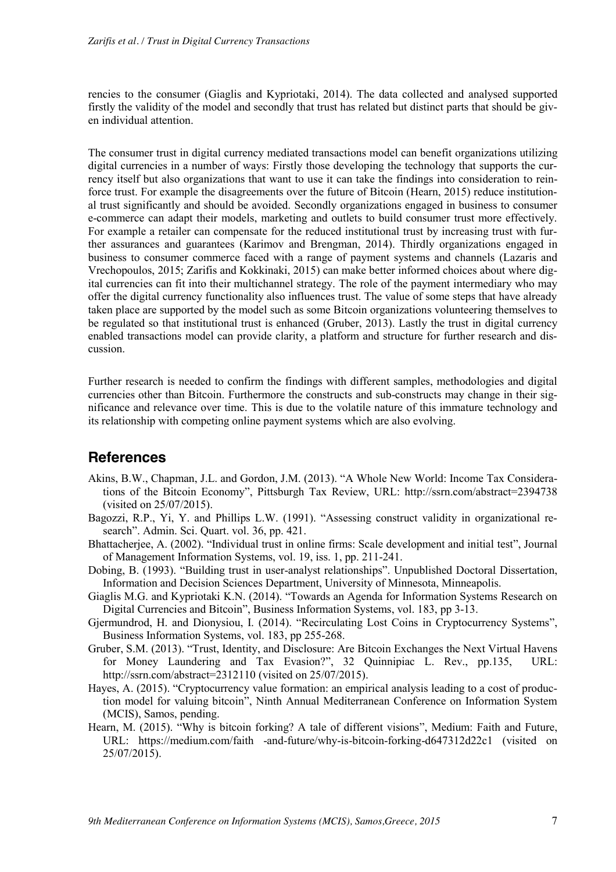rencies to the consumer (Giaglis and Kypriotaki, 2014). The data collected and analysed supported firstly the validity of the model and secondly that trust has related but distinct parts that should be given individual attention.

The consumer trust in digital currency mediated transactions model can benefit organizations utilizing digital currencies in a number of ways: Firstly those developing the technology that supports the currency itself but also organizations that want to use it can take the findings into consideration to reinforce trust. For example the disagreements over the future of Bitcoin (Hearn, 2015) reduce institutional trust significantly and should be avoided. Secondly organizations engaged in business to consumer e-commerce can adapt their models, marketing and outlets to build consumer trust more effectively. For example a retailer can compensate for the reduced institutional trust by increasing trust with further assurances and guarantees (Karimov and Brengman, 2014). Thirdly organizations engaged in business to consumer commerce faced with a range of payment systems and channels (Lazaris and Vrechopoulos, 2015; Zarifis and Kokkinaki, 2015) can make better informed choices about where digital currencies can fit into their multichannel strategy. The role of the payment intermediary who may offer the digital currency functionality also influences trust. The value of some steps that have already taken place are supported by the model such as some Bitcoin organizations volunteering themselves to be regulated so that institutional trust is enhanced (Gruber, 2013). Lastly the trust in digital currency enabled transactions model can provide clarity, a platform and structure for further research and discussion.

Further research is needed to confirm the findings with different samples, methodologies and digital currencies other than Bitcoin. Furthermore the constructs and sub-constructs may change in their significance and relevance over time. This is due to the volatile nature of this immature technology and its relationship with competing online payment systems which are also evolving.

# **References**

- Akins, B.W., Chapman, J.L. and Gordon, J.M. (2013). "A Whole New World: Income Tax Considerations of the Bitcoin Economy", Pittsburgh Tax Review, URL: http://ssrn.com/abstract=2394738 (visited on 25/07/2015).
- Bagozzi, R.P., Yi, Y. and Phillips L.W. (1991). "Assessing construct validity in organizational research". Admin. Sci. Quart. vol. 36, pp. 421.
- Bhattacherjee, A. (2002). "Individual trust in online firms: Scale development and initial test", Journal of Management Information Systems, vol. 19, iss. 1, pp. 211-241.
- Dobing, B. (1993). "Building trust in user-analyst relationships". Unpublished Doctoral Dissertation, Information and Decision Sciences Department, University of Minnesota, Minneapolis.
- Giaglis M.G. and Kypriotaki K.N. (2014). "Towards an Agenda for Information Systems Research on Digital Currencies and Bitcoin", Business Information Systems, vol. 183, pp 3-13.
- Gjermundrod, H. and Dionysiou, I. (2014). "Recirculating Lost Coins in Cryptocurrency Systems", Business Information Systems, vol. 183, pp 255-268.
- Gruber, S.M. (2013). "Trust, Identity, and Disclosure: Are Bitcoin Exchanges the Next Virtual Havens for Money Laundering and Tax Evasion?", 32 Quinnipiac L. Rev., pp.135, URL: http://ssrn.com/abstract=2312110 (visited on 25/07/2015).
- Hayes, A. (2015). "Cryptocurrency value formation: an empirical analysis leading to a cost of production model for valuing bitcoin", Ninth Annual Mediterranean Conference on Information System (MCIS), Samos, pending.
- Hearn, M. (2015). "Why is bitcoin forking? A tale of different visions", Medium: Faith and Future, URL: https://medium.com/faith -and-future/why-is-bitcoin-forking-d647312d22c1 (visited on 25/07/2015).